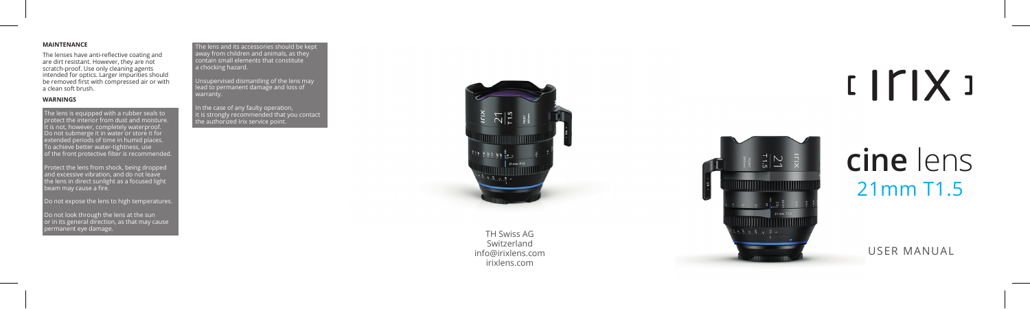#### **MAINTENANCE**

The lenses have anti-reflective coating and are dirt resistant. However, they are not scratch-proof. Use only cleaning agents intended for optics. Larger impurities should be removed first with compressed air or with a clean soft brush.

#### **WARNINGS**

The lens is equipped with a rubber seals to protect the interior from dust and moisture. It is not, however, completely waterproof. Do not submerge it in water or store it for extended periods of time in humid places. To achieve better water-tightness, use of the front protective filter is recommended.

Protect the lens from shock, being dropped and excessive vibration, and do not leave  $\overline{\phantom{a}}$ the lens in direct sunlight as a focused light beam may cause a fire.

Do not expose the lens to high temperatures.

Do not look through the lens at the sun or in its general direction, as that may cause<br>permanent eye damage. permanent eye damage. TH Swiss AG

The lens and its accessories should be kept away from children and animals, as they contain small elements that constitute a chocking hazard.

Unsupervised dismantling of the lens may lead to permanent damage and loss of

In the case of any faulty operation, it is strongly recommended that you contact the authorized Irix service point.



Switzerland info@irixlens.com irixlens.com

# $IITIX$

## 21mm T1.5 **cine** lens

USER MANUAL